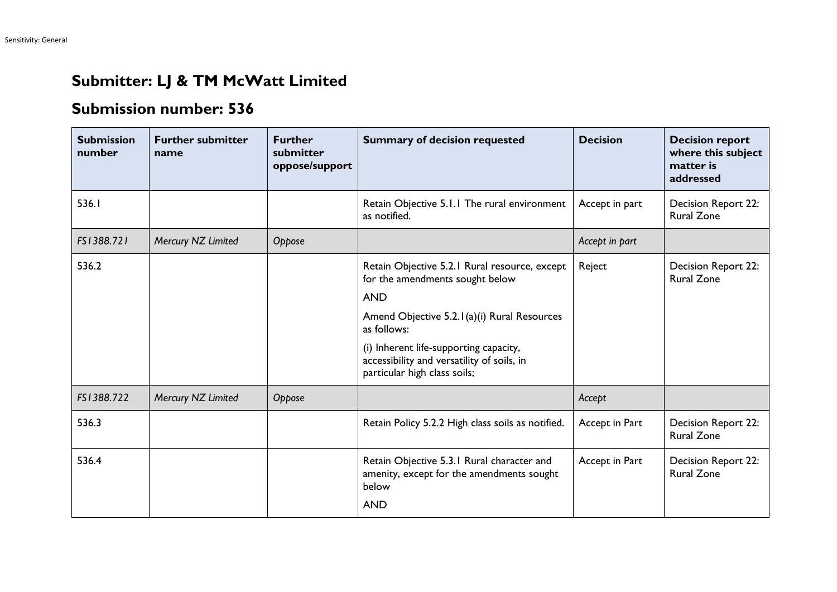## **Submitter: LJ & TM McWatt Limited**

## **Submission number: 536**

| <b>Submission</b><br>number | <b>Further submitter</b><br>name | <b>Further</b><br>submitter<br>oppose/support | <b>Summary of decision requested</b>                                                                                                                                                                                                                                                 | <b>Decision</b> | <b>Decision report</b><br>where this subject<br>matter is<br>addressed |
|-----------------------------|----------------------------------|-----------------------------------------------|--------------------------------------------------------------------------------------------------------------------------------------------------------------------------------------------------------------------------------------------------------------------------------------|-----------------|------------------------------------------------------------------------|
| 536.I                       |                                  |                                               | Retain Objective 5.1.1 The rural environment<br>as notified.                                                                                                                                                                                                                         | Accept in part  | Decision Report 22:<br><b>Rural Zone</b>                               |
| FS1388.721                  | Mercury NZ Limited               | Oppose                                        |                                                                                                                                                                                                                                                                                      | Accept in part  |                                                                        |
| 536.2                       |                                  |                                               | Retain Objective 5.2.1 Rural resource, except<br>for the amendments sought below<br><b>AND</b><br>Amend Objective 5.2.1(a)(i) Rural Resources<br>as follows:<br>(i) Inherent life-supporting capacity,<br>accessibility and versatility of soils, in<br>particular high class soils; | Reject          | Decision Report 22:<br><b>Rural Zone</b>                               |
| FS1388.722                  | Mercury NZ Limited               | Oppose                                        |                                                                                                                                                                                                                                                                                      | Accept          |                                                                        |
| 536.3                       |                                  |                                               | Retain Policy 5.2.2 High class soils as notified.                                                                                                                                                                                                                                    | Accept in Part  | Decision Report 22:<br><b>Rural Zone</b>                               |
| 536.4                       |                                  |                                               | Retain Objective 5.3.1 Rural character and<br>amenity, except for the amendments sought<br>below<br><b>AND</b>                                                                                                                                                                       | Accept in Part  | Decision Report 22:<br><b>Rural Zone</b>                               |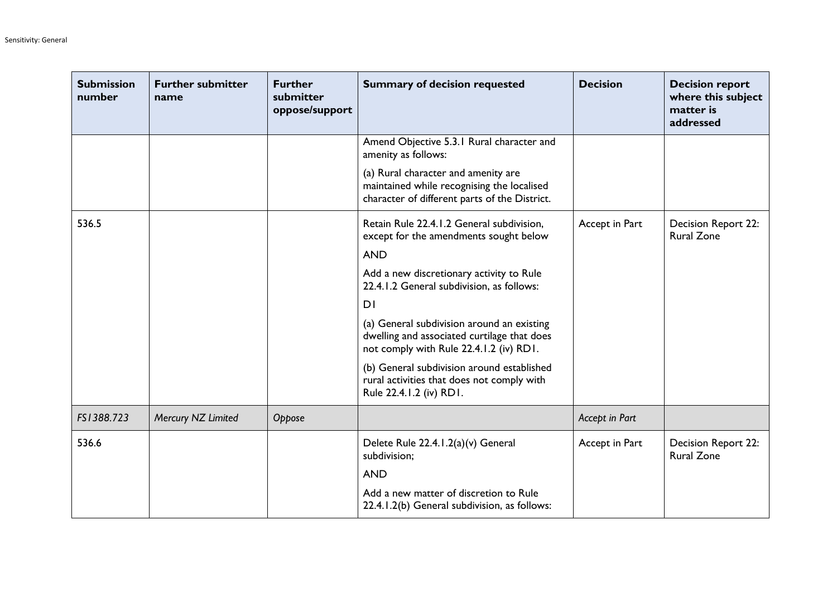| <b>Submission</b><br>number | <b>Further submitter</b><br>name | <b>Further</b><br>submitter<br>oppose/support | <b>Summary of decision requested</b>                                                                                                 | <b>Decision</b> | <b>Decision report</b><br>where this subject<br>matter is<br>addressed |
|-----------------------------|----------------------------------|-----------------------------------------------|--------------------------------------------------------------------------------------------------------------------------------------|-----------------|------------------------------------------------------------------------|
|                             |                                  |                                               | Amend Objective 5.3.1 Rural character and<br>amenity as follows:                                                                     |                 |                                                                        |
|                             |                                  |                                               | (a) Rural character and amenity are<br>maintained while recognising the localised<br>character of different parts of the District.   |                 |                                                                        |
| 536.5                       |                                  |                                               | Retain Rule 22.4.1.2 General subdivision,<br>except for the amendments sought below                                                  | Accept in Part  | Decision Report 22:<br><b>Rural Zone</b>                               |
|                             |                                  |                                               | <b>AND</b>                                                                                                                           |                 |                                                                        |
|                             |                                  |                                               | Add a new discretionary activity to Rule<br>22.4.1.2 General subdivision, as follows:                                                |                 |                                                                        |
|                             |                                  |                                               | DI                                                                                                                                   |                 |                                                                        |
|                             |                                  |                                               | (a) General subdivision around an existing<br>dwelling and associated curtilage that does<br>not comply with Rule 22.4.1.2 (iv) RD1. |                 |                                                                        |
|                             |                                  |                                               | (b) General subdivision around established<br>rural activities that does not comply with<br>Rule 22.4.1.2 (iv) RD1.                  |                 |                                                                        |
| FS1388.723                  | Mercury NZ Limited               | Oppose                                        |                                                                                                                                      | Accept in Part  |                                                                        |
| 536.6                       |                                  |                                               | Delete Rule 22.4.1.2(a)(v) General<br>subdivision;                                                                                   | Accept in Part  | Decision Report 22:<br><b>Rural Zone</b>                               |
|                             |                                  |                                               | <b>AND</b>                                                                                                                           |                 |                                                                        |
|                             |                                  |                                               | Add a new matter of discretion to Rule<br>22.4.1.2(b) General subdivision, as follows:                                               |                 |                                                                        |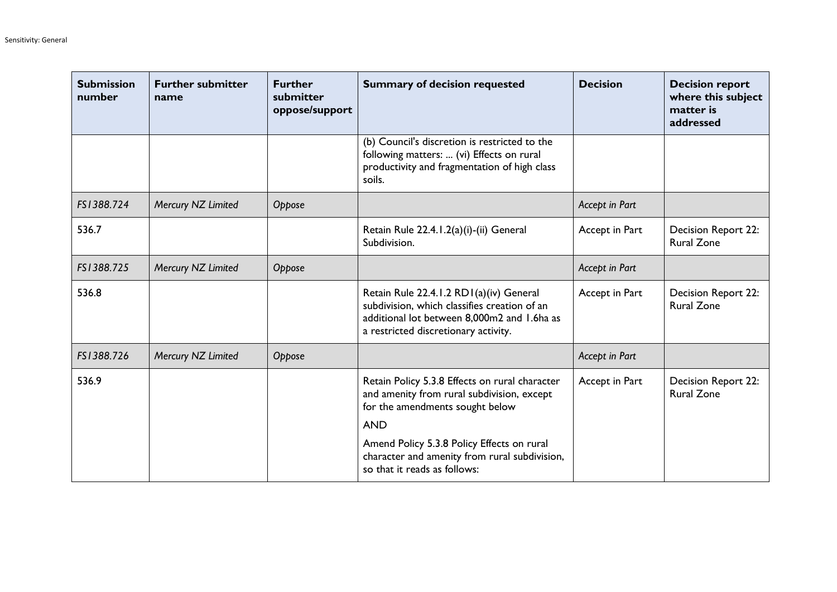| <b>Submission</b><br>number | <b>Further submitter</b><br>name | <b>Further</b><br>submitter<br>oppose/support | <b>Summary of decision requested</b>                                                                                                                                           | <b>Decision</b> | <b>Decision report</b><br>where this subject<br>matter is<br>addressed |
|-----------------------------|----------------------------------|-----------------------------------------------|--------------------------------------------------------------------------------------------------------------------------------------------------------------------------------|-----------------|------------------------------------------------------------------------|
|                             |                                  |                                               | (b) Council's discretion is restricted to the<br>following matters:  (vi) Effects on rural<br>productivity and fragmentation of high class<br>soils.                           |                 |                                                                        |
| FS1388.724                  | Mercury NZ Limited               | Oppose                                        |                                                                                                                                                                                | Accept in Part  |                                                                        |
| 536.7                       |                                  |                                               | Retain Rule 22.4.1.2(a)(i)-(ii) General<br>Subdivision.                                                                                                                        | Accept in Part  | Decision Report 22:<br><b>Rural Zone</b>                               |
| FS1388.725                  | Mercury NZ Limited               | Oppose                                        |                                                                                                                                                                                | Accept in Part  |                                                                        |
| 536.8                       |                                  |                                               | Retain Rule 22.4.1.2 RD1(a)(iv) General<br>subdivision, which classifies creation of an<br>additional lot between 8,000m2 and 1.6ha as<br>a restricted discretionary activity. | Accept in Part  | <b>Decision Report 22:</b><br><b>Rural Zone</b>                        |
| FS1388.726                  | Mercury NZ Limited               | Oppose                                        |                                                                                                                                                                                | Accept in Part  |                                                                        |
| 536.9                       |                                  |                                               | Retain Policy 5.3.8 Effects on rural character<br>and amenity from rural subdivision, except<br>for the amendments sought below                                                | Accept in Part  | <b>Decision Report 22:</b><br><b>Rural Zone</b>                        |
|                             |                                  |                                               | <b>AND</b>                                                                                                                                                                     |                 |                                                                        |
|                             |                                  |                                               | Amend Policy 5.3.8 Policy Effects on rural<br>character and amenity from rural subdivision,<br>so that it reads as follows:                                                    |                 |                                                                        |